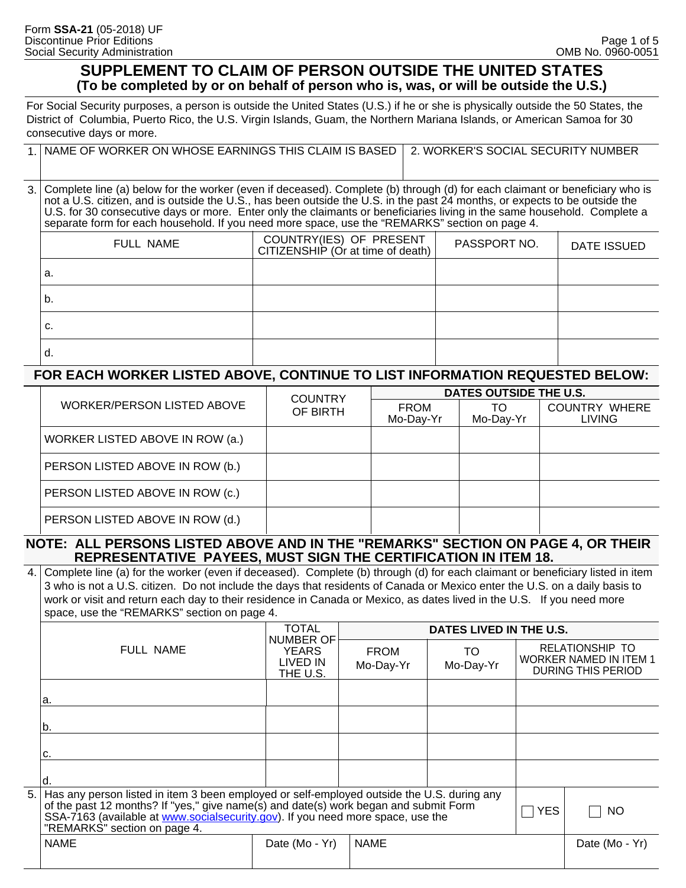#### **SUPPLEMENT TO CLAIM OF PERSON OUTSIDE THE UNITED STATES (To be completed by or on behalf of person who is, was, or will be outside the U.S.)**

For Social Security purposes, a person is outside the United States (U.S.) if he or she is physically outside the 50 States, the District of Columbia, Puerto Rico, the U.S. Virgin Islands, Guam, the Northern Mariana Islands, or American Samoa for 30 consecutive days or more.

| 1. NAME OF WORKER ON WHOSE EARNINGS THIS CLAIM IS BASED 2. WORKER'S SOCIAL SECURITY NUMBER |  |
|--------------------------------------------------------------------------------------------|--|
|                                                                                            |  |

Complete line (a) below for the worker (even if deceased). Complete (b) through (d) for each claimant or beneficiary who is not a U.S. citizen, and is outside the U.S., has been outside the U.S. in the past 24 months, or expects to be outside the U.S. for 30 consecutive days or more. Enter only the claimants or beneficiaries living in the same household. Complete a separate form for each household. If you need more space, use the "REMARKS" section on page 4. 3.

| FULL NAME | COUNTRY(IES) OF PRESENT<br>CITIZENSHIP (Or at time of death) | PASSPORT NO. | <b>DATE ISSUED</b> |
|-----------|--------------------------------------------------------------|--------------|--------------------|
| a.        |                                                              |              |                    |
| b.        |                                                              |              |                    |
| c.        |                                                              |              |                    |
| α.        |                                                              |              |                    |

#### **FOR EACH WORKER LISTED ABOVE, CONTINUE TO LIST INFORMATION REQUESTED BELOW:**

|                                   | <b>COUNTRY</b><br>OF BIRTH | DATES OUTSIDE THE U.S.   |                 |                                       |  |  |
|-----------------------------------|----------------------------|--------------------------|-----------------|---------------------------------------|--|--|
| <b>WORKER/PERSON LISTED ABOVE</b> |                            | <b>FROM</b><br>Mo-Day-Yr | TO<br>Mo-Day-Yr | <b>COUNTRY WHERE</b><br><b>LIVING</b> |  |  |
| WORKER LISTED ABOVE IN ROW (a.)   |                            |                          |                 |                                       |  |  |
| PERSON LISTED ABOVE IN ROW (b.)   |                            |                          |                 |                                       |  |  |
| PERSON LISTED ABOVE IN ROW (c.)   |                            |                          |                 |                                       |  |  |
| PERSON LISTED ABOVE IN ROW (d.)   |                            |                          |                 |                                       |  |  |

#### **NOTE: ALL PERSONS LISTED ABOVE AND IN THE "REMARKS" SECTION ON PAGE 4, OR THEIR REPRESENTATIVE PAYEES, MUST SIGN THE CERTIFICATION IN ITEM 18.**

4. Complete line (a) for the worker (even if deceased). Complete (b) through (d) for each claimant or beneficiary listed in item 3 who is not a U.S. citizen. Do not include the days that residents of Canada or Mexico enter the U.S. on a daily basis to work or visit and return each day to their residence in Canada or Mexico, as dates lived in the U.S. If you need more space, use the "REMARKS" section on page 4.

|    |                                                                                                                                                                                                                                                                                                       | TOTAL                                                    | DATES LIVED IN THE U.S.  |                 |  |                                                                               |
|----|-------------------------------------------------------------------------------------------------------------------------------------------------------------------------------------------------------------------------------------------------------------------------------------------------------|----------------------------------------------------------|--------------------------|-----------------|--|-------------------------------------------------------------------------------|
|    | FULL NAME                                                                                                                                                                                                                                                                                             | <b>NUMBER OF</b><br><b>YEARS</b><br>LIVED IN<br>THE U.S. | <b>FROM</b><br>Mo-Day-Yr | TO<br>Mo-Day-Yr |  | RELATIONSHIP TO<br><b>WORKER NAMED IN ITEM 1</b><br><b>DURING THIS PERIOD</b> |
|    | la.                                                                                                                                                                                                                                                                                                   |                                                          |                          |                 |  |                                                                               |
|    | lb.                                                                                                                                                                                                                                                                                                   |                                                          |                          |                 |  |                                                                               |
|    | c.                                                                                                                                                                                                                                                                                                    |                                                          |                          |                 |  |                                                                               |
|    |                                                                                                                                                                                                                                                                                                       |                                                          |                          |                 |  |                                                                               |
| 5. | Has any person listed in item 3 been employed or self-employed outside the U.S. during any<br>of the past 12 months? If "yes," give name(s) and date(s) work began and submit Form<br>SSA-7163 (available at www.socialsecurity.gov). If you need more space, use the<br>"REMARKS" section on page 4. |                                                          |                          |                 |  | NO                                                                            |
|    | <b>NAME</b>                                                                                                                                                                                                                                                                                           | Date (Mo - Yr)                                           | <b>NAME</b>              |                 |  | Date (Mo - Yr)                                                                |
|    |                                                                                                                                                                                                                                                                                                       |                                                          |                          |                 |  |                                                                               |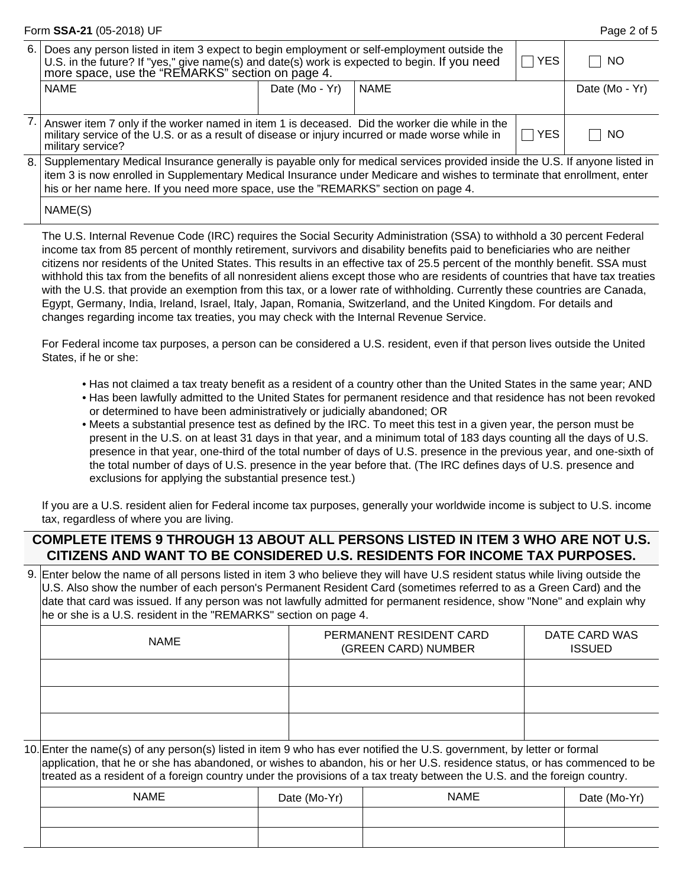|      | Form SSA-21 (05-2018) UF                                                                                                                                                                                                                                                                                                                     |                |             |  | Page 2 of 5    |  |
|------|----------------------------------------------------------------------------------------------------------------------------------------------------------------------------------------------------------------------------------------------------------------------------------------------------------------------------------------------|----------------|-------------|--|----------------|--|
| 6. l | Does any person listed in item 3 expect to begin employment or self-employment outside the<br>U.S. in the future? If "yes," give name(s) and date(s) work is expected to begin. If you need more space, use the "REMARKS" section on page 4.                                                                                                 | <b>YES</b>     | NO.         |  |                |  |
|      | <b>NAME</b>                                                                                                                                                                                                                                                                                                                                  | Date (Mo - Yr) | <b>NAME</b> |  | Date (Mo - Yr) |  |
|      | Answer item 7 only if the worker named in item 1 is deceased. Did the worker die while in the<br>military service of the U.S. or as a result of disease or injury incurred or made worse while in<br>military service?                                                                                                                       | <b>NO</b>      |             |  |                |  |
| 8.1  | Supplementary Medical Insurance generally is payable only for medical services provided inside the U.S. If anyone listed in<br>item 3 is now enrolled in Supplementary Medical Insurance under Medicare and wishes to terminate that enrollment, enter<br>his or her name here. If you need more space, use the "REMARKS" section on page 4. |                |             |  |                |  |
|      | NAME(S)                                                                                                                                                                                                                                                                                                                                      |                |             |  |                |  |

The U.S. Internal Revenue Code (IRC) requires the Social Security Administration (SSA) to withhold a 30 percent Federal income tax from 85 percent of monthly retirement, survivors and disability benefits paid to beneficiaries who are neither citizens nor residents of the United States. This results in an effective tax of 25.5 percent of the monthly benefit. SSA must withhold this tax from the benefits of all nonresident aliens except those who are residents of countries that have tax treaties with the U.S. that provide an exemption from this tax, or a lower rate of withholding. Currently these countries are Canada, Egypt, Germany, India, Ireland, Israel, Italy, Japan, Romania, Switzerland, and the United Kingdom. For details and changes regarding income tax treaties, you may check with the Internal Revenue Service.

For Federal income tax purposes, a person can be considered a U.S. resident, even if that person lives outside the United States, if he or she:

- Has not claimed a tax treaty benefit as a resident of a country other than the United States in the same year; AND
- Has been lawfully admitted to the United States for permanent residence and that residence has not been revoked or determined to have been administratively or judicially abandoned; OR
- Meets a substantial presence test as defined by the IRC. To meet this test in a given year, the person must be present in the U.S. on at least 31 days in that year, and a minimum total of 183 days counting all the days of U.S. presence in that year, one-third of the total number of days of U.S. presence in the previous year, and one-sixth of the total number of days of U.S. presence in the year before that. (The IRC defines days of U.S. presence and exclusions for applying the substantial presence test.)

If you are a U.S. resident alien for Federal income tax purposes, generally your worldwide income is subject to U.S. income tax, regardless of where you are living.

## **COMPLETE ITEMS 9 THROUGH 13 ABOUT ALL PERSONS LISTED IN ITEM 3 WHO ARE NOT U.S. CITIZENS AND WANT TO BE CONSIDERED U.S. RESIDENTS FOR INCOME TAX PURPOSES.**

Enter below the name of all persons listed in item 3 who believe they will have U.S resident status while living outside the 9. U.S. Also show the number of each person's Permanent Resident Card (sometimes referred to as a Green Card) and the date that card was issued. If any person was not lawfully admitted for permanent residence, show "None" and explain why he or she is a U.S. resident in the "REMARKS" section on page 4.

| NAME | PERMANENT RESIDENT CARD<br>(GREEN CARD) NUMBER | DATE CARD WAS<br><b>ISSUED</b> |
|------|------------------------------------------------|--------------------------------|
|      |                                                |                                |
|      |                                                |                                |
|      |                                                |                                |

Enter the name(s) of any person(s) listed in item 9 who has ever notified the U.S. government, by letter or formal 10. application, that he or she has abandoned, or wishes to abandon, his or her U.S. residence status, or has commenced to be treated as a resident of a foreign country under the provisions of a tax treaty between the U.S. and the foreign country.

| <b>NAME</b> | Date (Mo-Yr) | <b>NAME</b> | Date (Mo-Yr) |
|-------------|--------------|-------------|--------------|
|             |              |             |              |
|             |              |             |              |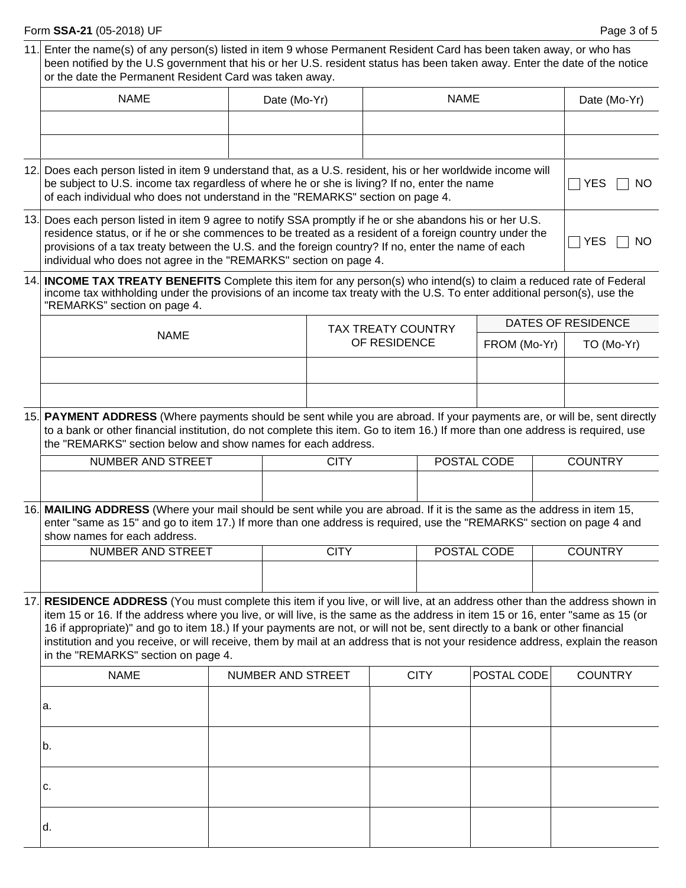# **Form SSA-21** (05-2018) UF

|                                                                                                                                                                                                                                                                                                                                                                                               | 11. Enter the name(s) of any person(s) listed in item 9 whose Permanent Resident Card has been taken away, or who has<br>been notified by the U.S government that his or her U.S. resident status has been taken away. Enter the date of the notice<br>or the date the Permanent Resident Card was taken away.                                                                                                                                                                                                                                                          |                                                                                                                                                                                                                                                                                               |              |                           |             |                   |             |                    |                |
|-----------------------------------------------------------------------------------------------------------------------------------------------------------------------------------------------------------------------------------------------------------------------------------------------------------------------------------------------------------------------------------------------|-------------------------------------------------------------------------------------------------------------------------------------------------------------------------------------------------------------------------------------------------------------------------------------------------------------------------------------------------------------------------------------------------------------------------------------------------------------------------------------------------------------------------------------------------------------------------|-----------------------------------------------------------------------------------------------------------------------------------------------------------------------------------------------------------------------------------------------------------------------------------------------|--------------|---------------------------|-------------|-------------------|-------------|--------------------|----------------|
|                                                                                                                                                                                                                                                                                                                                                                                               | <b>NAME</b>                                                                                                                                                                                                                                                                                                                                                                                                                                                                                                                                                             |                                                                                                                                                                                                                                                                                               | Date (Mo-Yr) |                           | <b>NAME</b> |                   |             |                    | Date (Mo-Yr)   |
|                                                                                                                                                                                                                                                                                                                                                                                               |                                                                                                                                                                                                                                                                                                                                                                                                                                                                                                                                                                         |                                                                                                                                                                                                                                                                                               |              |                           |             |                   |             |                    |                |
|                                                                                                                                                                                                                                                                                                                                                                                               |                                                                                                                                                                                                                                                                                                                                                                                                                                                                                                                                                                         |                                                                                                                                                                                                                                                                                               |              |                           |             |                   |             |                    |                |
|                                                                                                                                                                                                                                                                                                                                                                                               |                                                                                                                                                                                                                                                                                                                                                                                                                                                                                                                                                                         | 12. Does each person listed in item 9 understand that, as a U.S. resident, his or her worldwide income will<br>be subject to U.S. income tax regardless of where he or she is living? If no, enter the name<br>of each individual who does not understand in the "REMARKS" section on page 4. |              |                           |             |                   |             | <b>YES</b><br>NO.  |                |
| 13. Does each person listed in item 9 agree to notify SSA promptly if he or she abandons his or her U.S.<br>residence status, or if he or she commences to be treated as a resident of a foreign country under the<br>provisions of a tax treaty between the U.S. and the foreign country? If no, enter the name of each<br>individual who does not agree in the "REMARKS" section on page 4. |                                                                                                                                                                                                                                                                                                                                                                                                                                                                                                                                                                         |                                                                                                                                                                                                                                                                                               |              |                           |             | <b>YES</b><br>NO. |             |                    |                |
|                                                                                                                                                                                                                                                                                                                                                                                               | 14. INCOME TAX TREATY BENEFITS Complete this item for any person(s) who intend(s) to claim a reduced rate of Federal<br>income tax withholding under the provisions of an income tax treaty with the U.S. To enter additional person(s), use the<br>"REMARKS" section on page 4.                                                                                                                                                                                                                                                                                        |                                                                                                                                                                                                                                                                                               |              |                           |             |                   |             |                    |                |
|                                                                                                                                                                                                                                                                                                                                                                                               | <b>NAME</b>                                                                                                                                                                                                                                                                                                                                                                                                                                                                                                                                                             |                                                                                                                                                                                                                                                                                               |              | <b>TAX TREATY COUNTRY</b> |             |                   |             | DATES OF RESIDENCE |                |
|                                                                                                                                                                                                                                                                                                                                                                                               |                                                                                                                                                                                                                                                                                                                                                                                                                                                                                                                                                                         |                                                                                                                                                                                                                                                                                               | OF RESIDENCE |                           |             | FROM (Mo-Yr)      |             | TO (Mo-Yr)         |                |
|                                                                                                                                                                                                                                                                                                                                                                                               |                                                                                                                                                                                                                                                                                                                                                                                                                                                                                                                                                                         |                                                                                                                                                                                                                                                                                               |              |                           |             |                   |             |                    |                |
|                                                                                                                                                                                                                                                                                                                                                                                               |                                                                                                                                                                                                                                                                                                                                                                                                                                                                                                                                                                         |                                                                                                                                                                                                                                                                                               |              |                           |             |                   |             |                    |                |
|                                                                                                                                                                                                                                                                                                                                                                                               | 15. PAYMENT ADDRESS (Where payments should be sent while you are abroad. If your payments are, or will be, sent directly<br>to a bank or other financial institution, do not complete this item. Go to item 16.) If more than one address is required, use<br>the "REMARKS" section below and show names for each address.                                                                                                                                                                                                                                              |                                                                                                                                                                                                                                                                                               |              |                           |             |                   |             |                    |                |
|                                                                                                                                                                                                                                                                                                                                                                                               | NUMBER AND STREET                                                                                                                                                                                                                                                                                                                                                                                                                                                                                                                                                       |                                                                                                                                                                                                                                                                                               |              | <b>CITY</b>               |             |                   | POSTAL CODE |                    | <b>COUNTRY</b> |
|                                                                                                                                                                                                                                                                                                                                                                                               |                                                                                                                                                                                                                                                                                                                                                                                                                                                                                                                                                                         |                                                                                                                                                                                                                                                                                               |              |                           |             |                   |             |                    |                |
|                                                                                                                                                                                                                                                                                                                                                                                               | 16. MAILING ADDRESS (Where your mail should be sent while you are abroad. If it is the same as the address in item 15,<br>enter "same as 15" and go to item 17.) If more than one address is required, use the "REMARKS" section on page 4 and<br>show names for each address.                                                                                                                                                                                                                                                                                          |                                                                                                                                                                                                                                                                                               |              |                           |             |                   |             |                    |                |
|                                                                                                                                                                                                                                                                                                                                                                                               | NUMBER AND STREET                                                                                                                                                                                                                                                                                                                                                                                                                                                                                                                                                       |                                                                                                                                                                                                                                                                                               |              | <b>CITY</b>               |             | POSTAL CODE       |             |                    | <b>COUNTRY</b> |
|                                                                                                                                                                                                                                                                                                                                                                                               |                                                                                                                                                                                                                                                                                                                                                                                                                                                                                                                                                                         |                                                                                                                                                                                                                                                                                               |              |                           |             |                   |             |                    |                |
|                                                                                                                                                                                                                                                                                                                                                                                               | 17. RESIDENCE ADDRESS (You must complete this item if you live, or will live, at an address other than the address shown in<br>item 15 or 16. If the address where you live, or will live, is the same as the address in item 15 or 16, enter "same as 15 (or<br>16 if appropriate)" and go to item 18.) If your payments are not, or will not be, sent directly to a bank or other financial<br>institution and you receive, or will receive, them by mail at an address that is not your residence address, explain the reason<br>in the "REMARKS" section on page 4. |                                                                                                                                                                                                                                                                                               |              |                           |             |                   |             |                    |                |
|                                                                                                                                                                                                                                                                                                                                                                                               | <b>NAME</b>                                                                                                                                                                                                                                                                                                                                                                                                                                                                                                                                                             |                                                                                                                                                                                                                                                                                               |              | NUMBER AND STREET         |             | <b>CITY</b>       | POSTAL CODE |                    | <b>COUNTRY</b> |
|                                                                                                                                                                                                                                                                                                                                                                                               | a.                                                                                                                                                                                                                                                                                                                                                                                                                                                                                                                                                                      |                                                                                                                                                                                                                                                                                               |              |                           |             |                   |             |                    |                |
|                                                                                                                                                                                                                                                                                                                                                                                               | b.                                                                                                                                                                                                                                                                                                                                                                                                                                                                                                                                                                      |                                                                                                                                                                                                                                                                                               |              |                           |             |                   |             |                    |                |
|                                                                                                                                                                                                                                                                                                                                                                                               | c.                                                                                                                                                                                                                                                                                                                                                                                                                                                                                                                                                                      |                                                                                                                                                                                                                                                                                               |              |                           |             |                   |             |                    |                |
|                                                                                                                                                                                                                                                                                                                                                                                               | d.                                                                                                                                                                                                                                                                                                                                                                                                                                                                                                                                                                      |                                                                                                                                                                                                                                                                                               |              |                           |             |                   |             |                    |                |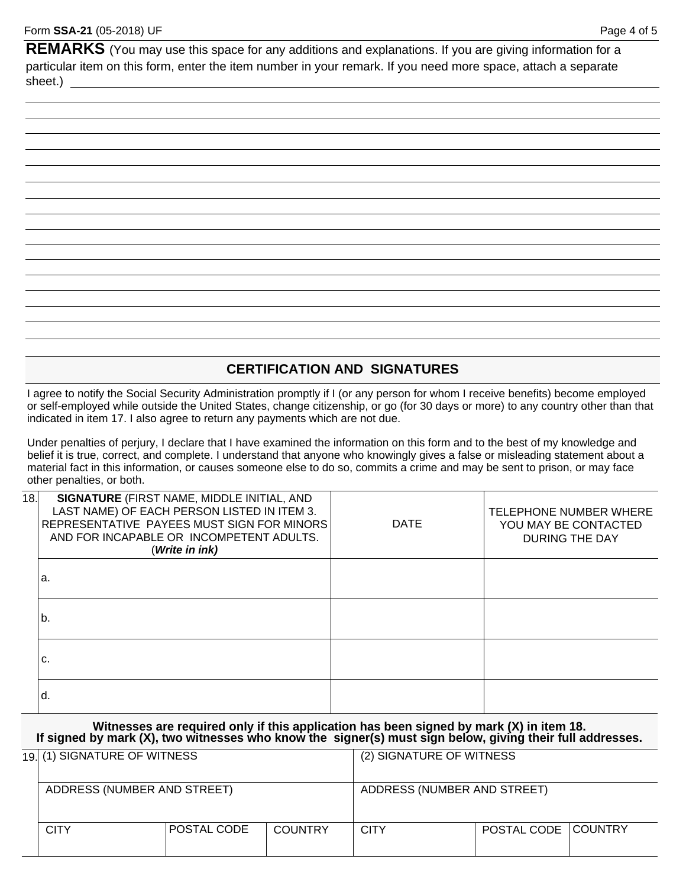REMARKS (You may use this space for any additions and explanations. If you are giving information for a particular item on this form, enter the item number in your remark. If you need more space, attach a separate sheet.)

### **CERTIFICATION AND SIGNATURES**

I agree to notify the Social Security Administration promptly if I (or any person for whom I receive benefits) become employed or self-employed while outside the United States, change citizenship, or go (for 30 days or more) to any country other than that indicated in item 17. I also agree to return any payments which are not due.

Under penalties of perjury, I declare that I have examined the information on this form and to the best of my knowledge and belief it is true, correct, and complete. I understand that anyone who knowingly gives a false or misleading statement about a material fact in this information, or causes someone else to do so, commits a crime and may be sent to prison, or may face other penalties, or both.

| 18. | SIGNATURE (FIRST NAME, MIDDLE INITIAL, AND<br>LAST NAME) OF EACH PERSON LISTED IN ITEM 3.<br>REPRESENTATIVE PAYEES MUST SIGN FOR MINORS<br>AND FOR INCAPABLE OR INCOMPETENT ADULTS.<br>(Write in ink) | <b>DATE</b> | TELEPHONE NUMBER WHERE<br>YOU MAY BE CONTACTED<br><b>DURING THE DAY</b> |
|-----|-------------------------------------------------------------------------------------------------------------------------------------------------------------------------------------------------------|-------------|-------------------------------------------------------------------------|
|     | a.                                                                                                                                                                                                    |             |                                                                         |
|     | b.                                                                                                                                                                                                    |             |                                                                         |
|     | C.                                                                                                                                                                                                    |             |                                                                         |
|     | d.                                                                                                                                                                                                    |             |                                                                         |

**Witnesses are required only if this application has been signed by mark (X) in item 18. If signed by mark (X), two witnesses who know the signer(s) must sign below, giving their full addresses.** 

|  | 19. (1) SIGNATURE OF WITNESS<br>ADDRESS (NUMBER AND STREET) |             |                | (2) SIGNATURE OF WITNESS<br>ADDRESS (NUMBER AND STREET) |                     |  |
|--|-------------------------------------------------------------|-------------|----------------|---------------------------------------------------------|---------------------|--|
|  |                                                             |             |                |                                                         |                     |  |
|  | CITY                                                        | POSTAL CODE | <b>COUNTRY</b> | <b>CITY</b>                                             | POSTAL CODE COUNTRY |  |